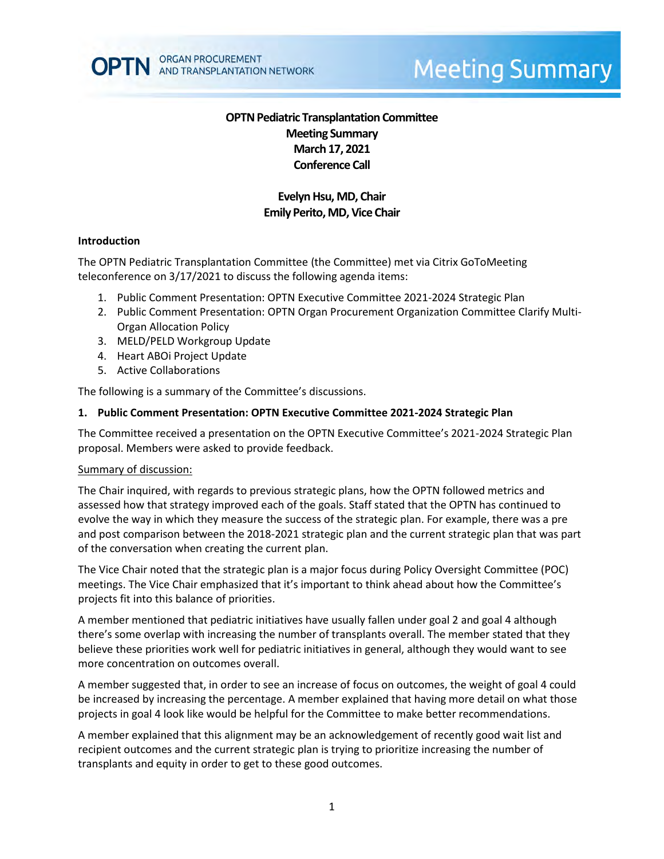

# **Meeting Summary**

# **OPTN Pediatric Transplantation Committee Meeting Summary March 17, 2021 Conference Call**

# **Evelyn Hsu, MD, Chair Emily Perito, MD, Vice Chair**

#### **Introduction**

The OPTN Pediatric Transplantation Committee (the Committee) met via Citrix GoToMeeting teleconference on 3/17/2021 to discuss the following agenda items:

- 1. Public Comment Presentation: OPTN Executive Committee 2021-2024 Strategic Plan
- 2. Public Comment Presentation: OPTN Organ Procurement Organization Committee Clarify Multi-Organ Allocation Policy
- 3. MELD/PELD Workgroup Update
- 4. Heart ABOi Project Update
- 5. Active Collaborations

The following is a summary of the Committee's discussions.

#### **1. Public Comment Presentation: OPTN Executive Committee 2021-2024 Strategic Plan**

The Committee received a presentation on the OPTN Executive Committee's 2021-2024 Strategic Plan proposal. Members were asked to provide feedback.

#### Summary of discussion:

The Chair inquired, with regards to previous strategic plans, how the OPTN followed metrics and assessed how that strategy improved each of the goals. Staff stated that the OPTN has continued to evolve the way in which they measure the success of the strategic plan. For example, there was a pre and post comparison between the 2018-2021 strategic plan and the current strategic plan that was part of the conversation when creating the current plan.

The Vice Chair noted that the strategic plan is a major focus during Policy Oversight Committee (POC) meetings. The Vice Chair emphasized that it's important to think ahead about how the Committee's projects fit into this balance of priorities.

A member mentioned that pediatric initiatives have usually fallen under goal 2 and goal 4 although there's some overlap with increasing the number of transplants overall. The member stated that they believe these priorities work well for pediatric initiatives in general, although they would want to see more concentration on outcomes overall.

A member suggested that, in order to see an increase of focus on outcomes, the weight of goal 4 could be increased by increasing the percentage. A member explained that having more detail on what those projects in goal 4 look like would be helpful for the Committee to make better recommendations.

A member explained that this alignment may be an acknowledgement of recently good wait list and recipient outcomes and the current strategic plan is trying to prioritize increasing the number of transplants and equity in order to get to these good outcomes.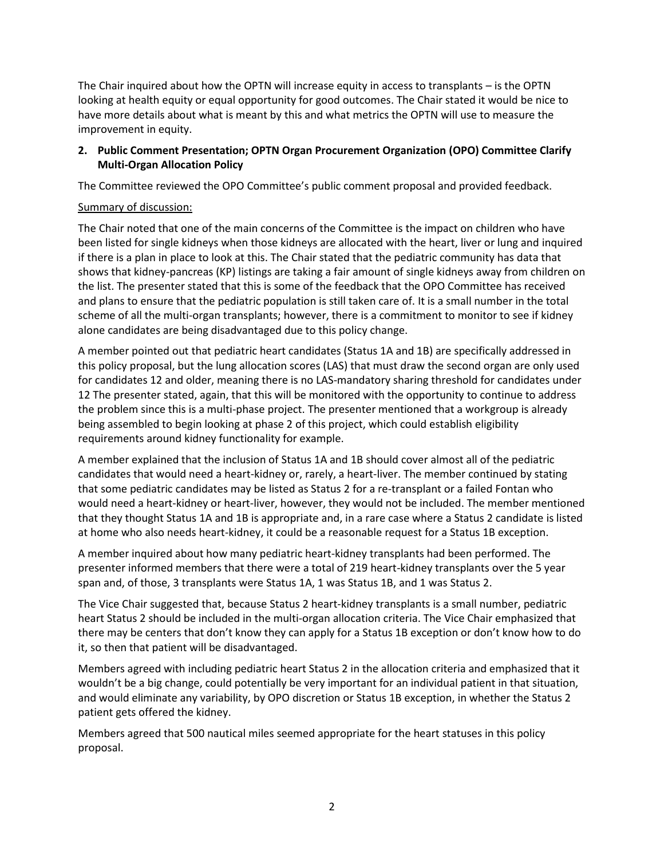The Chair inquired about how the OPTN will increase equity in access to transplants – is the OPTN looking at health equity or equal opportunity for good outcomes. The Chair stated it would be nice to have more details about what is meant by this and what metrics the OPTN will use to measure the improvement in equity.

# **2. Public Comment Presentation; OPTN Organ Procurement Organization (OPO) Committee Clarify Multi-Organ Allocation Policy**

The Committee reviewed the OPO Committee's public comment proposal and provided feedback.

## Summary of discussion:

The Chair noted that one of the main concerns of the Committee is the impact on children who have been listed for single kidneys when those kidneys are allocated with the heart, liver or lung and inquired if there is a plan in place to look at this. The Chair stated that the pediatric community has data that shows that kidney-pancreas (KP) listings are taking a fair amount of single kidneys away from children on the list. The presenter stated that this is some of the feedback that the OPO Committee has received and plans to ensure that the pediatric population is still taken care of. It is a small number in the total scheme of all the multi-organ transplants; however, there is a commitment to monitor to see if kidney alone candidates are being disadvantaged due to this policy change.

A member pointed out that pediatric heart candidates (Status 1A and 1B) are specifically addressed in this policy proposal, but the lung allocation scores (LAS) that must draw the second organ are only used for candidates 12 and older, meaning there is no LAS-mandatory sharing threshold for candidates under 12 The presenter stated, again, that this will be monitored with the opportunity to continue to address the problem since this is a multi-phase project. The presenter mentioned that a workgroup is already being assembled to begin looking at phase 2 of this project, which could establish eligibility requirements around kidney functionality for example.

A member explained that the inclusion of Status 1A and 1B should cover almost all of the pediatric candidates that would need a heart-kidney or, rarely, a heart-liver. The member continued by stating that some pediatric candidates may be listed as Status 2 for a re-transplant or a failed Fontan who would need a heart-kidney or heart-liver, however, they would not be included. The member mentioned that they thought Status 1A and 1B is appropriate and, in a rare case where a Status 2 candidate is listed at home who also needs heart-kidney, it could be a reasonable request for a Status 1B exception.

A member inquired about how many pediatric heart-kidney transplants had been performed. The presenter informed members that there were a total of 219 heart-kidney transplants over the 5 year span and, of those, 3 transplants were Status 1A, 1 was Status 1B, and 1 was Status 2.

The Vice Chair suggested that, because Status 2 heart-kidney transplants is a small number, pediatric heart Status 2 should be included in the multi-organ allocation criteria. The Vice Chair emphasized that there may be centers that don't know they can apply for a Status 1B exception or don't know how to do it, so then that patient will be disadvantaged.

Members agreed with including pediatric heart Status 2 in the allocation criteria and emphasized that it wouldn't be a big change, could potentially be very important for an individual patient in that situation, and would eliminate any variability, by OPO discretion or Status 1B exception, in whether the Status 2 patient gets offered the kidney.

Members agreed that 500 nautical miles seemed appropriate for the heart statuses in this policy proposal.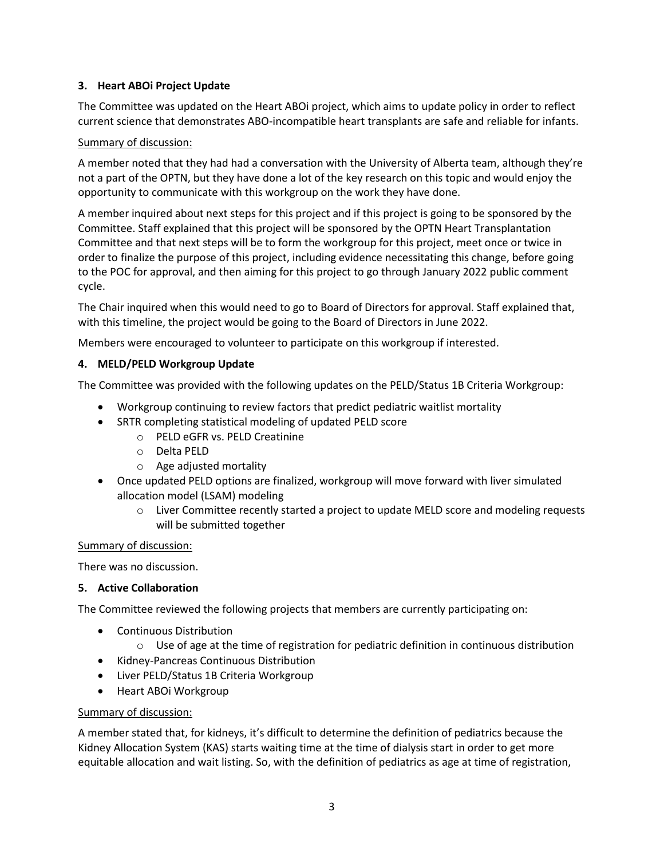# **3. Heart ABOi Project Update**

The Committee was updated on the Heart ABOi project, which aims to update policy in order to reflect current science that demonstrates ABO-incompatible heart transplants are safe and reliable for infants.

## Summary of discussion:

A member noted that they had had a conversation with the University of Alberta team, although they're not a part of the OPTN, but they have done a lot of the key research on this topic and would enjoy the opportunity to communicate with this workgroup on the work they have done.

A member inquired about next steps for this project and if this project is going to be sponsored by the Committee. Staff explained that this project will be sponsored by the OPTN Heart Transplantation Committee and that next steps will be to form the workgroup for this project, meet once or twice in order to finalize the purpose of this project, including evidence necessitating this change, before going to the POC for approval, and then aiming for this project to go through January 2022 public comment cycle.

The Chair inquired when this would need to go to Board of Directors for approval. Staff explained that, with this timeline, the project would be going to the Board of Directors in June 2022.

Members were encouraged to volunteer to participate on this workgroup if interested.

## **4. MELD/PELD Workgroup Update**

The Committee was provided with the following updates on the PELD/Status 1B Criteria Workgroup:

- Workgroup continuing to review factors that predict pediatric waitlist mortality
- SRTR completing statistical modeling of updated PELD score
	- o PELD eGFR vs. PELD Creatinine
	- o Delta PELD
	- o Age adjusted mortality
- Once updated PELD options are finalized, workgroup will move forward with liver simulated allocation model (LSAM) modeling
	- $\circ$  Liver Committee recently started a project to update MELD score and modeling requests will be submitted together

## Summary of discussion:

There was no discussion.

## **5. Active Collaboration**

The Committee reviewed the following projects that members are currently participating on:

- Continuous Distribution
	- $\circ$  Use of age at the time of registration for pediatric definition in continuous distribution
- Kidney-Pancreas Continuous Distribution
- Liver PELD/Status 1B Criteria Workgroup
- Heart ABOi Workgroup

## Summary of discussion:

A member stated that, for kidneys, it's difficult to determine the definition of pediatrics because the Kidney Allocation System (KAS) starts waiting time at the time of dialysis start in order to get more equitable allocation and wait listing. So, with the definition of pediatrics as age at time of registration,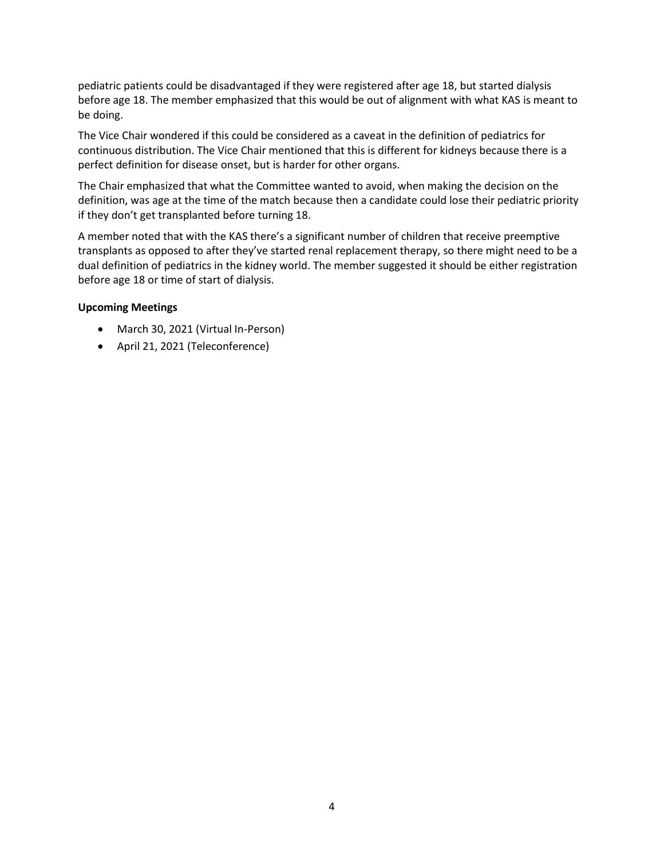pediatric patients could be disadvantaged if they were registered after age 18, but started dialysis before age 18. The member emphasized that this would be out of alignment with what KAS is meant to be doing.

The Vice Chair wondered if this could be considered as a caveat in the definition of pediatrics for continuous distribution. The Vice Chair mentioned that this is different for kidneys because there is a perfect definition for disease onset, but is harder for other organs.

The Chair emphasized that what the Committee wanted to avoid, when making the decision on the definition, was age at the time of the match because then a candidate could lose their pediatric priority if they don't get transplanted before turning 18.

A member noted that with the KAS there's a significant number of children that receive preemptive transplants as opposed to after they've started renal replacement therapy, so there might need to be a dual definition of pediatrics in the kidney world. The member suggested it should be either registration before age 18 or time of start of dialysis.

## **Upcoming Meetings**

- March 30, 2021 (Virtual In-Person)
- April 21, 2021 (Teleconference)